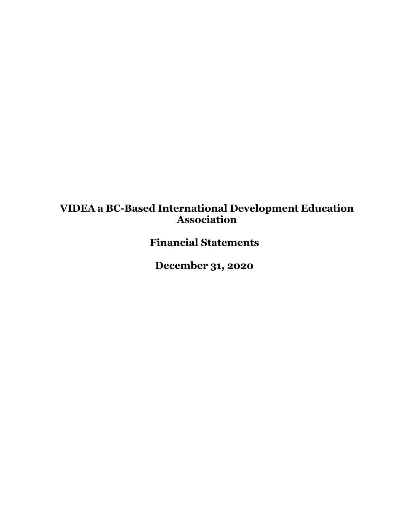**Financial Statements**

**December 31, 2020**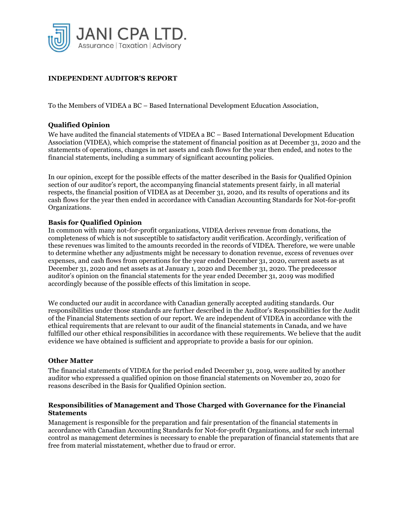

#### **INDEPENDENT AUDITOR'S REPORT**

To the Members of VIDEA a BC – Based International Development Education Association,

### **Qualified Opinion**

We have audited the financial statements of VIDEA a BC – Based International Development Education Association (VIDEA), which comprise the statement of financial position as at December 31, 2020 and the statements of operations, changes in net assets and cash flows for the year then ended, and notes to the financial statements, including a summary of significant accounting policies.

In our opinion, except for the possible effects of the matter described in the Basis for Qualified Opinion section of our auditor's report, the accompanying financial statements present fairly, in all material respects, the financial position of VIDEA as at December 31, 2020, and its results of operations and its cash flows for the year then ended in accordance with Canadian Accounting Standards for Not-for-profit Organizations.

#### **Basis for Qualified Opinion**

In common with many not-for-profit organizations, VIDEA derives revenue from donations, the completeness of which is not susceptible to satisfactory audit verification. Accordingly, verification of these revenues was limited to the amounts recorded in the records of VIDEA. Therefore, we were unable to determine whether any adjustments might be necessary to donation revenue, excess of revenues over expenses, and cash flows from operations for the year ended December 31, 2020, current assets as at December 31, 2020 and net assets as at January 1, 2020 and December 31, 2020. The predecessor auditor's opinion on the financial statements for the year ended December 31, 2019 was modified accordingly because of the possible effects of this limitation in scope.

We conducted our audit in accordance with Canadian generally accepted auditing standards. Our responsibilities under those standards are further described in the Auditor's Responsibilities for the Audit of the Financial Statements section of our report. We are independent of VIDEA in accordance with the ethical requirements that are relevant to our audit of the financial statements in Canada, and we have fulfilled our other ethical responsibilities in accordance with these requirements. We believe that the audit evidence we have obtained is sufficient and appropriate to provide a basis for our opinion.

#### **Other Matter**

The financial statements of VIDEA for the period ended December 31, 2019, were audited by another auditor who expressed a qualified opinion on those financial statements on November 20, 2020 for reasons described in the Basis for Qualified Opinion section.

#### **Responsibilities of Management and Those Charged with Governance for the Financial Statements**

Management is responsible for the preparation and fair presentation of the financial statements in accordance with Canadian Accounting Standards for Not-for-profit Organizations, and for such internal control as management determines is necessary to enable the preparation of financial statements that are free from material misstatement, whether due to fraud or error.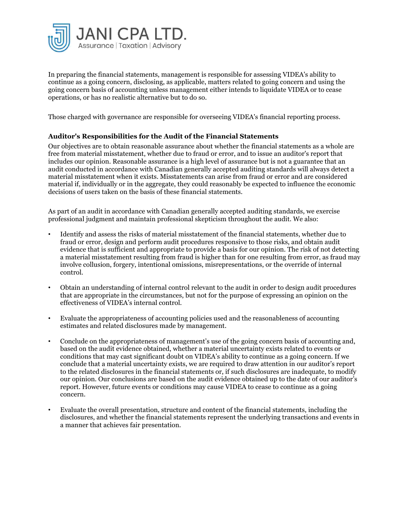

In preparing the financial statements, management is responsible for assessing VIDEA's ability to continue as a going concern, disclosing, as applicable, matters related to going concern and using the going concern basis of accounting unless management either intends to liquidate VIDEA or to cease operations, or has no realistic alternative but to do so.

Those charged with governance are responsible for overseeing VIDEA's financial reporting process.

#### **Auditor's Responsibilities for the Audit of the Financial Statements**

Our objectives are to obtain reasonable assurance about whether the financial statements as a whole are free from material misstatement, whether due to fraud or error, and to issue an auditor's report that includes our opinion. Reasonable assurance is a high level of assurance but is not a guarantee that an audit conducted in accordance with Canadian generally accepted auditing standards will always detect a material misstatement when it exists. Misstatements can arise from fraud or error and are considered material if, individually or in the aggregate, they could reasonably be expected to influence the economic decisions of users taken on the basis of these financial statements.

As part of an audit in accordance with Canadian generally accepted auditing standards, we exercise professional judgment and maintain professional skepticism throughout the audit. We also:

- Identify and assess the risks of material misstatement of the financial statements, whether due to fraud or error, design and perform audit procedures responsive to those risks, and obtain audit evidence that is sufficient and appropriate to provide a basis for our opinion. The risk of not detecting a material misstatement resulting from fraud is higher than for one resulting from error, as fraud may involve collusion, forgery, intentional omissions, misrepresentations, or the override of internal control.
- Obtain an understanding of internal control relevant to the audit in order to design audit procedures that are appropriate in the circumstances, but not for the purpose of expressing an opinion on the effectiveness of VIDEA's internal control.
- Evaluate the appropriateness of accounting policies used and the reasonableness of accounting estimates and related disclosures made by management.
- Conclude on the appropriateness of management's use of the going concern basis of accounting and, based on the audit evidence obtained, whether a material uncertainty exists related to events or conditions that may cast significant doubt on VIDEA's ability to continue as a going concern. If we conclude that a material uncertainty exists, we are required to draw attention in our auditor's report to the related disclosures in the financial statements or, if such disclosures are inadequate, to modify our opinion. Our conclusions are based on the audit evidence obtained up to the date of our auditor's report. However, future events or conditions may cause VIDEA to cease to continue as a going concern.
- Evaluate the overall presentation, structure and content of the financial statements, including the disclosures, and whether the financial statements represent the underlying transactions and events in a manner that achieves fair presentation.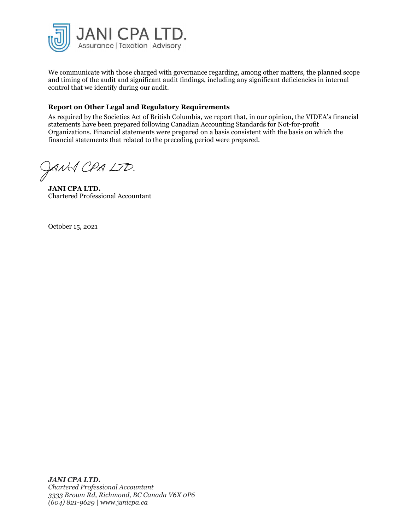

We communicate with those charged with governance regarding, among other matters, the planned scope and timing of the audit and significant audit findings, including any significant deficiencies in internal control that we identify during our audit.

#### **Report on Other Legal and Regulatory Requirements**

As required by the Societies Act of British Columbia, we report that, in our opinion, the VIDEA's financial statements have been prepared following Canadian Accounting Standards for Not-for-profit Organizations. Financial statements were prepared on a basis consistent with the basis on which the financial statements that related to the preceding period were prepared.

JANA CPA LTD.

**JANI CPA LTD.** Chartered Professional Accountant

October 15, 2021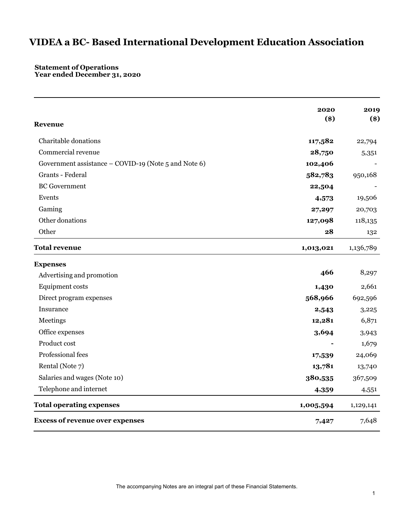#### **Statement of Operations Year ended December 31, 2020**

| Revenue                                              | 2020<br>$(*)$ | 2019<br>$($)$ |
|------------------------------------------------------|---------------|---------------|
| Charitable donations                                 | 117,582       | 22,794        |
| Commercial revenue                                   | 28,750        | 5,351         |
| Government assistance – COVID-19 (Note 5 and Note 6) | 102,406       |               |
| Grants - Federal                                     | 582,783       | 950,168       |
| <b>BC</b> Government                                 | 22,504        |               |
| Events                                               | 4,573         | 19,506        |
| Gaming                                               | 27,297        | 20,703        |
| Other donations                                      | 127,098       | 118,135       |
| Other                                                | 28            | 132           |
| <b>Total revenue</b>                                 | 1,013,021     | 1,136,789     |
| <b>Expenses</b>                                      |               |               |
| Advertising and promotion                            | 466           | 8,297         |
| <b>Equipment costs</b>                               | 1,430         | 2,661         |
| Direct program expenses                              | 568,966       | 692,596       |
| Insurance                                            | 2,543         | 3,225         |
| Meetings                                             | 12,281        | 6,871         |
| Office expenses                                      | 3,694         | 3,943         |
| Product cost                                         |               | 1,679         |
| Professional fees                                    | 17,539        | 24,069        |
| Rental (Note 7)                                      | 13,781        | 13,740        |
| Salaries and wages (Note 10)                         | 380,535       | 367,509       |
| Telephone and internet                               | 4,359         | 4,551         |
| <b>Total operating expenses</b>                      | 1,005,594     | 1,129,141     |
| <b>Excess of revenue over expenses</b>               | 7,427         | 7,648         |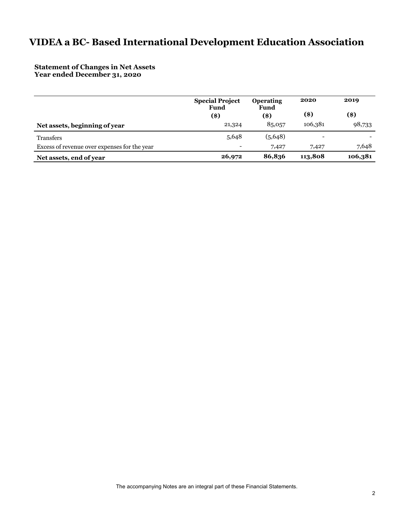**Statement of Changes in Net Assets Year ended December 31, 2020**

|                                              | <b>Special Project</b><br><b>Fund</b> | <b>Operating</b><br>Fund | 2020                     | 2019    |
|----------------------------------------------|---------------------------------------|--------------------------|--------------------------|---------|
|                                              | \$)                                   | \$)                      | (\$)                     | (\$)    |
| Net assets, beginning of year                | 21,324                                | 85,057                   | 106,381                  | 98,733  |
| <b>Transfers</b>                             | 5,648                                 | (5,648)                  | $\overline{\phantom{a}}$ |         |
| Excess of revenue over expenses for the year | $\overline{\phantom{0}}$              | 7,427                    | 7,427                    | 7,648   |
| Net assets, end of year                      | 26,972                                | 86,836                   | 113,808                  | 106,381 |

The accompanying Notes are an integral part of these Financial Statements.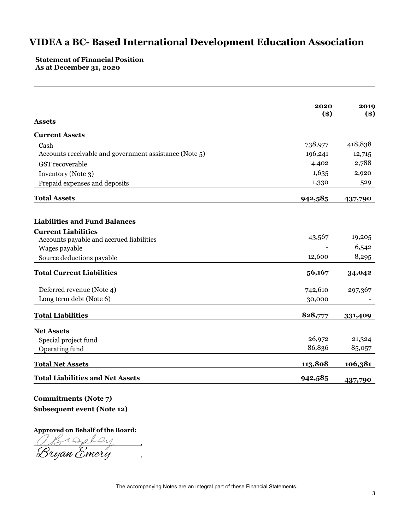#### **Statement of Financial Position As at December 31, 2020**

|                                                                        | 2020    | 2019    |
|------------------------------------------------------------------------|---------|---------|
| <b>Assets</b>                                                          | (3)     | $($)$   |
| <b>Current Assets</b>                                                  |         |         |
| Cash                                                                   | 738,977 | 418,838 |
| Accounts receivable and government assistance (Note 5)                 | 196,241 | 12,715  |
| <b>GST</b> recoverable                                                 | 4,402   | 2,788   |
| Inventory (Note 3)                                                     | 1,635   | 2,920   |
| Prepaid expenses and deposits                                          | 1,330   | 529     |
| <b>Total Assets</b>                                                    | 942,585 | 437,790 |
| <b>Liabilities and Fund Balances</b>                                   |         |         |
|                                                                        |         |         |
| <b>Current Liabilities</b><br>Accounts payable and accrued liabilities | 43,567  | 19,205  |
| Wages payable                                                          |         | 6,542   |
| Source deductions payable                                              | 12,600  | 8,295   |
| <b>Total Current Liabilities</b>                                       | 56,167  | 34,042  |
| Deferred revenue (Note 4)                                              | 742,610 | 297,367 |
| Long term debt (Note 6)                                                | 30,000  |         |
| <b>Total Liabilities</b>                                               | 828,777 | 331,409 |
| <b>Net Assets</b>                                                      |         |         |
| Special project fund                                                   | 26,972  | 21,324  |
| Operating fund                                                         | 86,836  | 85,057  |
| <b>Total Net Assets</b>                                                | 113,808 | 106,381 |
| <b>Total Liabilities and Net Assets</b>                                | 942,585 | 437,790 |

**Commitments (Note 7) Subsequent event (Note 12)**

**Approved on Behalf of the Board:**

, ,

The accompanying Notes are an integral part of these Financial Statements.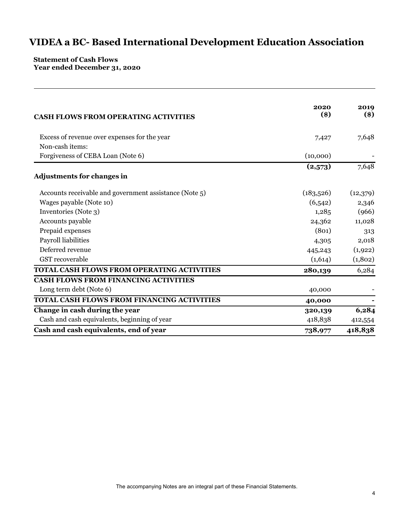#### **Statement of Cash Flows Year ended December 31, 2020**

| <b>CASH FLOWS FROM OPERATING ACTIVITIES</b>            | 2020<br>$($)$ | 2019<br>$($)$ |
|--------------------------------------------------------|---------------|---------------|
| Excess of revenue over expenses for the year           | 7,427         | 7,648         |
| Non-cash items:                                        |               |               |
| Forgiveness of CEBA Loan (Note 6)                      | (10,000)      |               |
|                                                        | (2,573)       | 7,648         |
| <b>Adjustments for changes in</b>                      |               |               |
| Accounts receivable and government assistance (Note 5) | (183,526)     | (12,379)      |
| Wages payable (Note 10)                                | (6,542)       | 2,346         |
| Inventories (Note 3)                                   | 1,285         | (966)         |
| Accounts payable                                       | 24,362        | 11,028        |
| Prepaid expenses                                       | (801)         | 313           |
| Payroll liabilities                                    | 4,305         | 2,018         |
| Deferred revenue                                       | 445,243       | (1,922)       |
| GST recoverable                                        | (1,614)       | (1,802)       |
| <b>TOTAL CASH FLOWS FROM OPERATING ACTIVITIES</b>      | 280,139       | 6,284         |
| <b>CASH FLOWS FROM FINANCING ACTIVITIES</b>            |               |               |
| Long term debt (Note 6)                                | 40,000        |               |
| <b>TOTAL CASH FLOWS FROM FINANCING ACTIVITIES</b>      | 40,000        |               |
| Change in cash during the year                         | 320,139       | 6,284         |
| Cash and cash equivalents, beginning of year           | 418,838       | 412,554       |
| Cash and cash equivalents, end of year                 | 738,977       | 418,838       |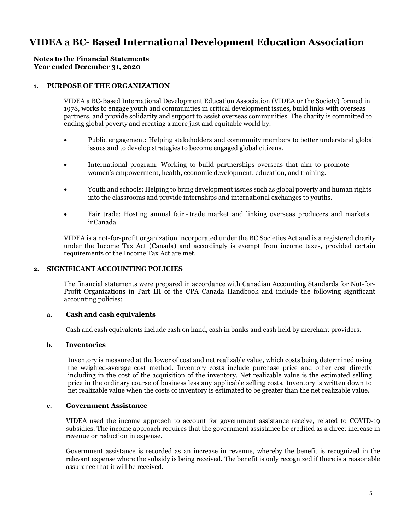#### **Notes to the Financial Statements Year ended December 31, 2020**

#### **1. PURPOSE OF THE ORGANIZATION**

VIDEA a BC-Based International Development Education Association (VIDEA or the Society) formed in 1978, works to engage youth and communities in critical development issues, build links with overseas partners, and provide solidarity and support to assist overseas communities. The charity is committed to ending global poverty and creating a more just and equitable world by:

- Public engagement: Helping stakeholders and community members to better understand global issues and to develop strategies to become engaged global citizens.
- International program: Working to build partnerships overseas that aim to promote women's empowerment, health, economic development, education, and training.
- Youth and schools: Helping to bring development issues such as global poverty and human rights into the classrooms and provide internships and international exchanges to youths.
- Fair trade: Hosting annual fair trade market and linking overseas producers and markets inCanada.

VIDEA is a not-for-profit organization incorporated under the BC Societies Act and is a registered charity under the Income Tax Act (Canada) and accordingly is exempt from income taxes, provided certain requirements of the Income Tax Act are met.

#### **2. SIGNIFICANT ACCOUNTING POLICIES**

The financial statements were prepared in accordance with Canadian Accounting Standards for Not-for-Profit Organizations in Part III of the CPA Canada Handbook and include the following significant accounting policies:

#### **a. Cash and cash equivalents**

Cash and cash equivalents include cash on hand, cash in banks and cash held by merchant providers.

#### **b. Inventories**

Inventory is measured at the lower of cost and net realizable value, which costs being determined using the weighted-average cost method. Inventory costs include purchase price and other cost directly including in the cost of the acquisition of the inventory. Net realizable value is the estimated selling price in the ordinary course of business less any applicable selling costs. Inventory is written down to net realizable value when the costs of inventory is estimated to be greater than the net realizable value.

#### **c. Government Assistance**

VIDEA used the income approach to account for government assistance receive, related to COVID-19 subsidies. The income approach requires that the government assistance be credited as a direct increase in revenue or reduction in expense.

Government assistance is recorded as an increase in revenue, whereby the benefit is recognized in the relevant expense where the subsidy is being received. The benefit is only recognized if there is a reasonable assurance that it will be received.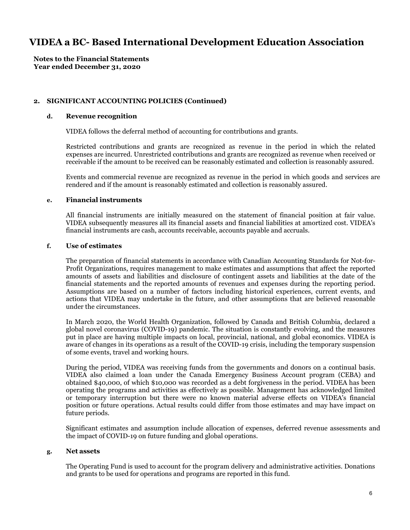**Notes to the Financial Statements Year ended December 31, 2020**

#### **2. SIGNIFICANT ACCOUNTING POLICIES (Continued)**

#### **d. Revenue recognition**

VIDEA follows the deferral method of accounting for contributions and grants.

Restricted contributions and grants are recognized as revenue in the period in which the related expenses are incurred. Unrestricted contributions and grants are recognized as revenue when received or receivable if the amount to be received can be reasonably estimated and collection is reasonably assured.

Events and commercial revenue are recognized as revenue in the period in which goods and services are rendered and if the amount is reasonably estimated and collection is reasonably assured.

#### **e. Financial instruments**

All financial instruments are initially measured on the statement of financial position at fair value. VIDEA subsequently measures all its financial assets and financial liabilities at amortized cost. VIDEA's financial instruments are cash, accounts receivable, accounts payable and accruals.

#### **f. Use of estimates**

The preparation of financial statements in accordance with Canadian Accounting Standards for Not-for-Profit Organizations, requires management to make estimates and assumptions that affect the reported amounts of assets and liabilities and disclosure of contingent assets and liabilities at the date of the financial statements and the reported amounts of revenues and expenses during the reporting period. Assumptions are based on a number of factors including historical experiences, current events, and actions that VIDEA may undertake in the future, and other assumptions that are believed reasonable under the circumstances.

In March 2020, the World Health Organization, followed by Canada and British Columbia, declared a global novel coronavirus (COVID-19) pandemic. The situation is constantly evolving, and the measures put in place are having multiple impacts on local, provincial, national, and global economics. VIDEA is aware of changes in its operations as a result of the COVID-19 crisis, including the temporary suspension of some events, travel and working hours.

During the period, VIDEA was receiving funds from the governments and donors on a continual basis. VIDEA also claimed a loan under the Canada Emergency Business Account program (CEBA) and obtained \$40,000, of which \$10,000 was recorded as a debt forgiveness in the period. VIDEA has been operating the programs and activities as effectively as possible. Management has acknowledged limited or temporary interruption but there were no known material adverse effects on VIDEA's financial position or future operations. Actual results could differ from those estimates and may have impact on future periods.

Significant estimates and assumption include allocation of expenses, deferred revenue assessments and the impact of COVID-19 on future funding and global operations.

#### **g. Net assets**

The Operating Fund is used to account for the program delivery and administrative activities. Donations and grants to be used for operations and programs are reported in this fund.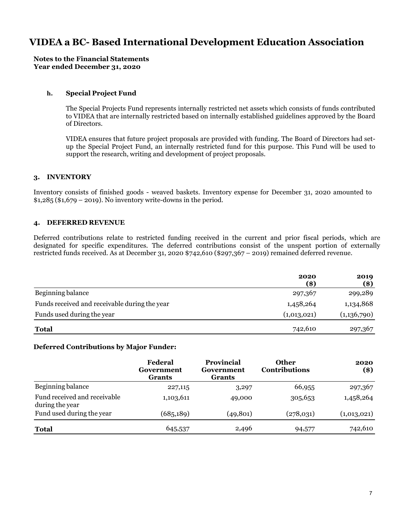#### **Notes to the Financial Statements Year ended December 31, 2020**

#### **h. Special Project Fund**

The Special Projects Fund represents internally restricted net assets which consists of funds contributed to VIDEA that are internally restricted based on internally established guidelines approved by the Board of Directors.

VIDEA ensures that future project proposals are provided with funding. The Board of Directors had setup the Special Project Fund, an internally restricted fund for this purpose. This Fund will be used to support the research, writing and development of project proposals.

#### **3. INVENTORY**

Inventory consists of finished goods - weaved baskets. Inventory expense for December 31, 2020 amounted to  $$1,285 ($1,679 - 2019)$ . No inventory write-downs in the period.

#### **4. DEFERRED REVENUE**

Deferred contributions relate to restricted funding received in the current and prior fiscal periods, which are designated for specific expenditures. The deferred contributions consist of the unspent portion of externally restricted funds received. As at December 31, 2020 \$742,610 (\$297,367 – 2019) remained deferred revenue.

|                                               | 2020<br>$$^{(*)}$ | 2019<br>(3) |
|-----------------------------------------------|-------------------|-------------|
| Beginning balance                             | 297,367           | 299,289     |
| Funds received and receivable during the year | 1,458,264         | 1,134,868   |
| Funds used during the year                    | (1,013,021)       | (1,136,790) |
| <b>Total</b>                                  | 742,610           | 297,367     |

#### **Deferred Contributions by Major Funder:**

|                                                 | Federal<br>Government<br><b>Grants</b> | <b>Provincial</b><br>Government<br><b>Grants</b> | <b>Other</b><br><b>Contributions</b> | 2020<br>(\$) |
|-------------------------------------------------|----------------------------------------|--------------------------------------------------|--------------------------------------|--------------|
| Beginning balance                               | 227,115                                | 3,297                                            | 66,955                               | 297,367      |
| Fund received and receivable<br>during the year | 1,103,611                              | 49,000                                           | 305,653                              | 1,458,264    |
| Fund used during the year                       | (685, 189)                             | (49, 801)                                        | (278,031)                            | (1,013,021)  |
| <b>Total</b>                                    | 645,537                                | 2,496                                            | 94,577                               | 742,610      |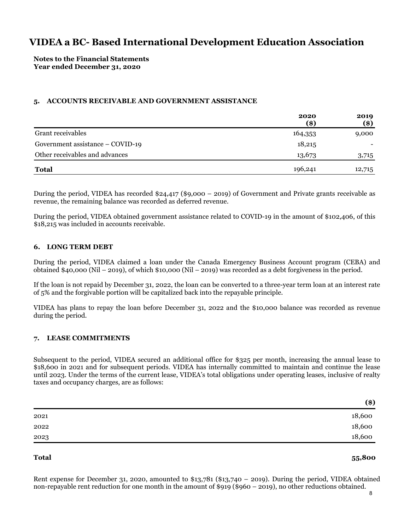**Notes to the Financial Statements Year ended December 31, 2020**

#### **5. ACCOUNTS RECEIVABLE AND GOVERNMENT ASSISTANCE**

|                                  | 2020<br>(\$) | 2019<br>(\$) |
|----------------------------------|--------------|--------------|
| Grant receivables                | 164,353      | 9,000        |
| Government assistance – COVID-19 | 18,215       |              |
| Other receivables and advances   | 13,673       | 3,715        |
| <b>Total</b>                     | 196,241      | 12,715       |

During the period, VIDEA has recorded \$24,417 (\$9,000 – 2019) of Government and Private grants receivable as revenue, the remaining balance was recorded as deferred revenue.

During the period, VIDEA obtained government assistance related to COVID-19 in the amount of \$102,406, of this \$18,215 was included in accounts receivable.

#### **6. LONG TERM DEBT**

During the period, VIDEA claimed a loan under the Canada Emergency Business Account program (CEBA) and obtained \$40,000 (Nil – 2019), of which \$10,000 (Nil – 2019) was recorded as a debt forgiveness in the period.

If the loan is not repaid by December 31, 2022, the loan can be converted to a three-year term loan at an interest rate of 5% and the forgivable portion will be capitalized back into the repayable principle.

VIDEA has plans to repay the loan before December 31, 2022 and the \$10,000 balance was recorded as revenue during the period.

#### **7. LEASE COMMITMENTS**

Subsequent to the period, VIDEA secured an additional office for \$325 per month, increasing the annual lease to \$18,600 in 2021 and for subsequent periods. VIDEA has internally committed to maintain and continue the lease until 2023. Under the terms of the current lease, VIDEA's total obligations under operating leases, inclusive of realty taxes and occupancy charges, are as follows:

|      | $(*)$  |
|------|--------|
| 2021 | 18,600 |
| 2022 | 18,600 |
| 2023 | 18,600 |

**Total 55,800**

Rent expense for December 31, 2020, amounted to \$13,781 (\$13,740 – 2019). During the period, VIDEA obtained non-repayable rent reduction for one month in the amount of \$919 (\$960 – 2019), no other reductions obtained.

8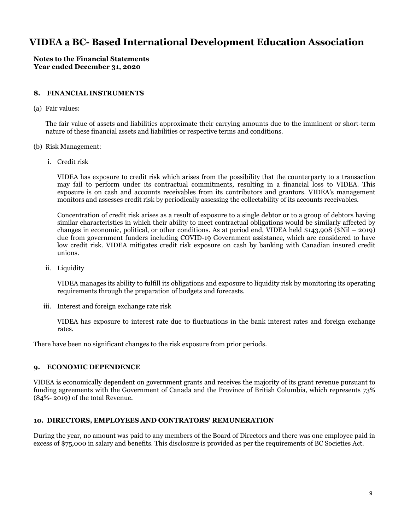**Notes to the Financial Statements Year ended December 31, 2020**

#### **8. FINANCIAL INSTRUMENTS**

(a) Fair values:

The fair value of assets and liabilities approximate their carrying amounts due to the imminent or short-term nature of these financial assets and liabilities or respective terms and conditions.

#### (b) Risk Management:

i. Credit risk

VIDEA has exposure to credit risk which arises from the possibility that the counterparty to a transaction may fail to perform under its contractual commitments, resulting in a financial loss to VIDEA. This exposure is on cash and accounts receivables from its contributors and grantors. VIDEA's management monitors and assesses credit risk by periodically assessing the collectability of its accounts receivables.

Concentration of credit risk arises as a result of exposure to a single debtor or to a group of debtors having similar characteristics in which their ability to meet contractual obligations would be similarly affected by changes in economic, political, or other conditions. As at period end, VIDEA held \$143,908 (\$Nil – 2019) due from government funders including COVID-19 Government assistance, which are considered to have low credit risk. VIDEA mitigates credit risk exposure on cash by banking with Canadian insured credit unions.

ii. Liquidity

VIDEA manages its ability to fulfill its obligations and exposure to liquidity risk by monitoring its operating requirements through the preparation of budgets and forecasts.

iii. Interest and foreign exchange rate risk

VIDEA has exposure to interest rate due to fluctuations in the bank interest rates and foreign exchange rates.

There have been no significant changes to the risk exposure from prior periods.

#### **9. ECONOMIC DEPENDENCE**

VIDEA is economically dependent on government grants and receives the majority of its grant revenue pursuant to funding agreements with the Government of Canada and the Province of British Columbia, which represents 73% (84%- 2019) of the total Revenue.

#### **10. DIRECTORS, EMPLOYEES AND CONTRATORS' REMUNERATION**

During the year, no amount was paid to any members of the Board of Directors and there was one employee paid in excess of \$75,000 in salary and benefits. This disclosure is provided as per the requirements of BC Societies Act.